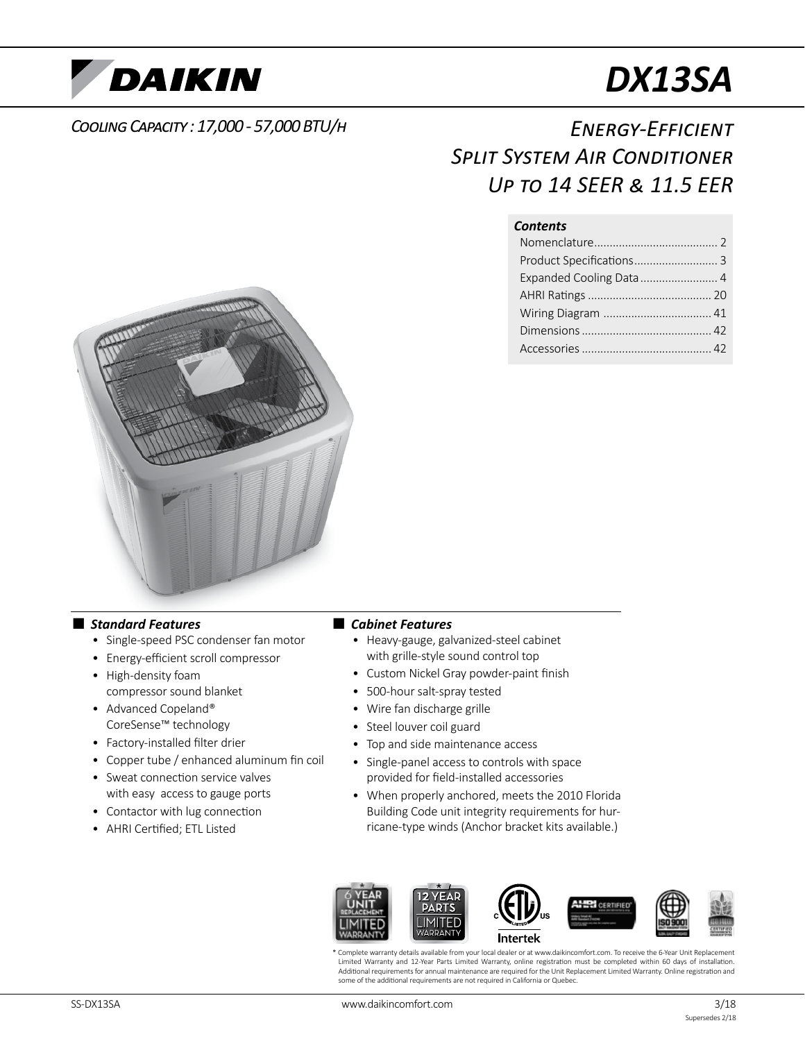

# *DX13SA*

### *Cooling Capacity : 17,000 - 57,000 BTU/h*

## *Energy-Efficient Split System Air Conditioner Up to 14 SEER & 11.5 EER*

#### *Contents*

| Product Specifications 3 |  |
|--------------------------|--|
| Expanded Cooling Data  4 |  |
|                          |  |
|                          |  |
|                          |  |
|                          |  |



#### ■ *Standard Features*

- Single-speed PSC condenser fan motor
- Energy-efficient scroll compressor
- High-density foam compressor sound blanket
- Advanced Copeland® CoreSense™ technology
- Factory-installed filter drier
- Copper tube / enhanced aluminum fin coil
- Sweat connection service valves with easy access to gauge ports
- Contactor with lug connection
- AHRI Certified; ETL Listed

#### ■ *Cabinet Features*

- Heavy-gauge, galvanized-steel cabinet with grille-style sound control top
- Custom Nickel Gray powder-paint finish
- 500-hour salt-spray tested
- Wire fan discharge grille
- Steel louver coil guard
- Top and side maintenance access
- Single-panel access to controls with space provided for field-installed accessories
- When properly anchored, meets the 2010 Florida Building Code unit integrity requirements for hurricane-type winds (Anchor bracket kits available.)



\* Complete warranty details available from your local dealer or at www.daikincomfort.com. To receive the 6-Year Unit Replacement Limited Warranty and 12-Year Parts Limited Warranty, online registration must be completed within 60 days of installation. Additional requirements for annual maintenance are required for the Unit Replacement Limited Warranty. Online registration and some of the additional requirements are not required in California or Quebec.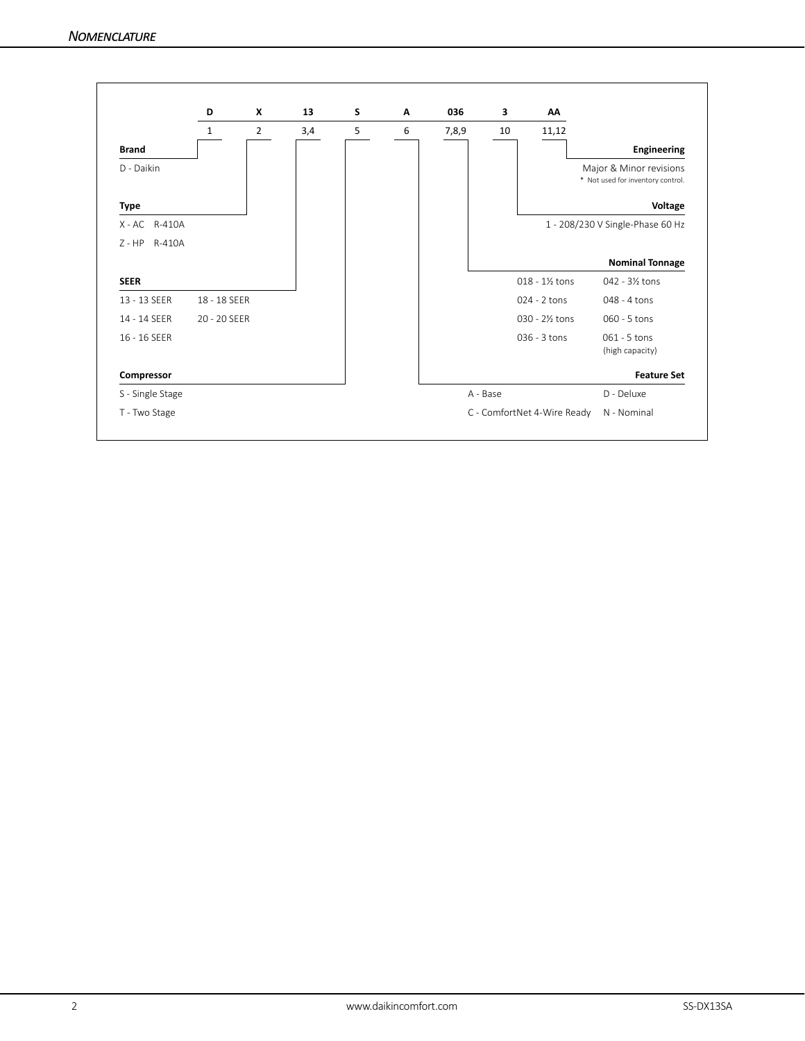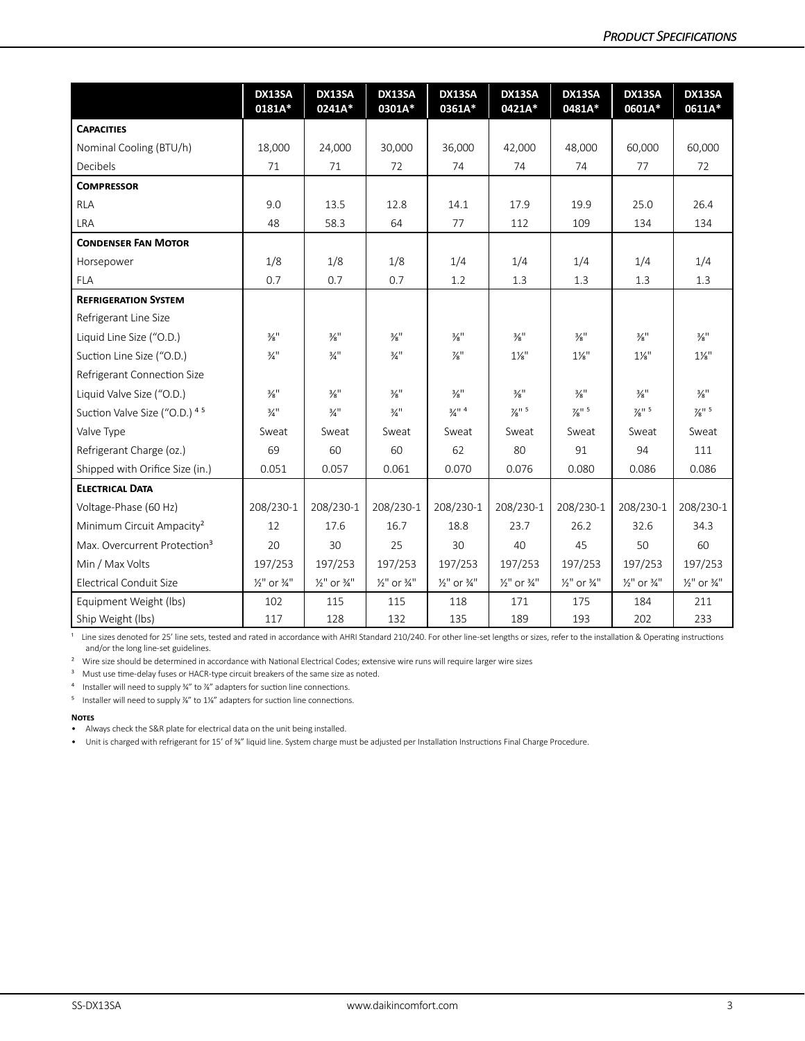|                                          | DX13SA<br>0181A*                   | DX13SA<br>0241A*                   | DX13SA<br>0301A*                   | DX13SA<br>0361A*                   | DX13SA<br>0421A*                   | DX13SA<br>0481A*                   | DX13SA<br>0601A*                   | DX13SA<br>0611A*                   |
|------------------------------------------|------------------------------------|------------------------------------|------------------------------------|------------------------------------|------------------------------------|------------------------------------|------------------------------------|------------------------------------|
| <b>CAPACITIES</b>                        |                                    |                                    |                                    |                                    |                                    |                                    |                                    |                                    |
| Nominal Cooling (BTU/h)                  | 18,000                             | 24,000                             | 30,000                             | 36,000                             | 42.000                             | 48.000                             | 60.000                             | 60,000                             |
| <b>Decibels</b>                          | 71                                 | 71                                 | 72                                 | 74                                 | 74                                 | 74                                 | 77                                 | 72                                 |
| <b>COMPRESSOR</b>                        |                                    |                                    |                                    |                                    |                                    |                                    |                                    |                                    |
| <b>RLA</b>                               | 9.0                                | 13.5                               | 12.8                               | 14.1                               | 17.9                               | 19.9                               | 25.0                               | 26.4                               |
| LRA                                      | 48                                 | 58.3                               | 64                                 | 77                                 | 112                                | 109                                | 134                                | 134                                |
| <b>CONDENSER FAN MOTOR</b>               |                                    |                                    |                                    |                                    |                                    |                                    |                                    |                                    |
| Horsepower                               | 1/8                                | 1/8                                | 1/8                                | 1/4                                | 1/4                                | 1/4                                | 1/4                                | 1/4                                |
| <b>FLA</b>                               | 0.7                                | 0.7                                | 0.7                                | 1.2                                | 1.3                                | 1.3                                | 1.3                                | 1.3                                |
| <b>REFRIGERATION SYSTEM</b>              |                                    |                                    |                                    |                                    |                                    |                                    |                                    |                                    |
| Refrigerant Line Size                    |                                    |                                    |                                    |                                    |                                    |                                    |                                    |                                    |
| Liquid Line Size ("O.D.)                 | $\frac{3}{8}$ <sup>11</sup>        | $\frac{3}{8}$ <sup>11</sup>        | $\frac{3}{8}$ <sup>11</sup>        | $\frac{3}{8}$ <sup>11</sup>        | $\frac{3}{8}$ <sup>11</sup>        | $\frac{3}{8}$ <sup>11</sup>        | $\frac{3}{8}$ <sup>11</sup>        | $\frac{3}{8}$ <sup>11</sup>        |
| Suction Line Size ("O.D.)                | $\frac{3}{4}$ "                    | $\frac{3}{4}$ <sup>11</sup>        | $\frac{3}{4}$ <sup>11</sup>        | $\frac{7}{8}$ "                    | $1\frac{1}{8}$ "                   | $1\frac{1}{8}$ "                   | $1\frac{1}{8}$ "                   | $1\frac{1}{8}$ "                   |
| Refrigerant Connection Size              |                                    |                                    |                                    |                                    |                                    |                                    |                                    |                                    |
| Liquid Valve Size ("O.D.)                | $\frac{3}{8}$ <sup>11</sup>        | $\frac{3}{8}$ <sup>11</sup>        | $\frac{3}{8}$ <sup>11</sup>        | $\frac{3}{8}$ <sup>11</sup>        | $\frac{3}{8}$ <sup>11</sup>        | $\frac{3}{8}$ <sup>11</sup>        | $\frac{3}{8}$ <sup>11</sup>        | $\frac{3}{8}$ <sup>11</sup>        |
| Suction Valve Size ("O.D.) 45            | $\frac{3}{4}$ <sup>11</sup>        | $\frac{3}{4}$ <sup>11</sup>        | $\frac{3}{4}$ <sup>11</sup>        | $\frac{3}{4}$ <sup>11</sup> 4      | $\frac{7}{8}$ <sup>11</sup> 5      | $\frac{7}{8}$ <sup>11</sup> 5      | $\frac{7}{8}$ <sup>11</sup> 5      | $\frac{7}{8}$ <sup>11 5</sup>      |
| Valve Type                               | Sweat                              | Sweat                              | Sweat                              | Sweat                              | Sweat                              | Sweat                              | Sweat                              | Sweat                              |
| Refrigerant Charge (oz.)                 | 69                                 | 60                                 | 60                                 | 62                                 | 80                                 | 91                                 | 94                                 | 111                                |
| Shipped with Orifice Size (in.)          | 0.051                              | 0.057                              | 0.061                              | 0.070                              | 0.076                              | 0.080                              | 0.086                              | 0.086                              |
| <b>ELECTRICAL DATA</b>                   |                                    |                                    |                                    |                                    |                                    |                                    |                                    |                                    |
| Voltage-Phase (60 Hz)                    | 208/230-1                          | 208/230-1                          | 208/230-1                          | 208/230-1                          | 208/230-1                          | 208/230-1                          | 208/230-1                          | 208/230-1                          |
| Minimum Circuit Ampacity <sup>2</sup>    | 12                                 | 17.6                               | 16.7                               | 18.8                               | 23.7                               | 26.2                               | 32.6                               | 34.3                               |
| Max. Overcurrent Protection <sup>3</sup> | 20                                 | 30                                 | 25                                 | 30                                 | 40                                 | 45                                 | 50                                 | 60                                 |
| Min / Max Volts                          | 197/253                            | 197/253                            | 197/253                            | 197/253                            | 197/253                            | 197/253                            | 197/253                            | 197/253                            |
| <b>Electrical Conduit Size</b>           | $\frac{1}{2}$ " or $\frac{3}{4}$ " | $\frac{1}{2}$ " or $\frac{3}{4}$ " | $\frac{1}{2}$ " or $\frac{3}{4}$ " | $\frac{1}{2}$ " or $\frac{3}{4}$ " | $\frac{1}{2}$ " or $\frac{3}{4}$ " | $\frac{1}{2}$ " or $\frac{3}{4}$ " | $\frac{1}{2}$ " or $\frac{3}{4}$ " | $\frac{1}{2}$ " or $\frac{3}{4}$ " |
| Equipment Weight (lbs)                   | 102                                | 115                                | 115                                | 118                                | 171                                | 175                                | 184                                | 211                                |
| Ship Weight (lbs)                        | 117                                | 128                                | 132                                | 135                                | 189                                | 193                                | 202                                | 233                                |

<sup>1</sup> Line sizes denoted for 25' line sets, tested and rated in accordance with AHRI Standard 210/240. For other line-set lengths or sizes, refer to the installation & Operating instructions and/or the long line-set guidelines.

<sup>2</sup> Wire size should be determined in accordance with National Electrical Codes; extensive wire runs will require larger wire sizes

<sup>3</sup> Must use time-delay fuses or HACR-type circuit breakers of the same size as noted.

<sup>4</sup> Installer will need to supply ¾" to ¼" adapters for suction line connections.

<sup>5</sup> Installer will need to supply <sup>76</sup>" to 1<sup>1</sup>%" adapters for suction line connections.

#### **Notes**

• Always check the S&R plate for electrical data on the unit being installed.

• Unit is charged with refrigerant for 15' of ⅜" liquid line. System charge must be adjusted per Installation Instructions Final Charge Procedure.